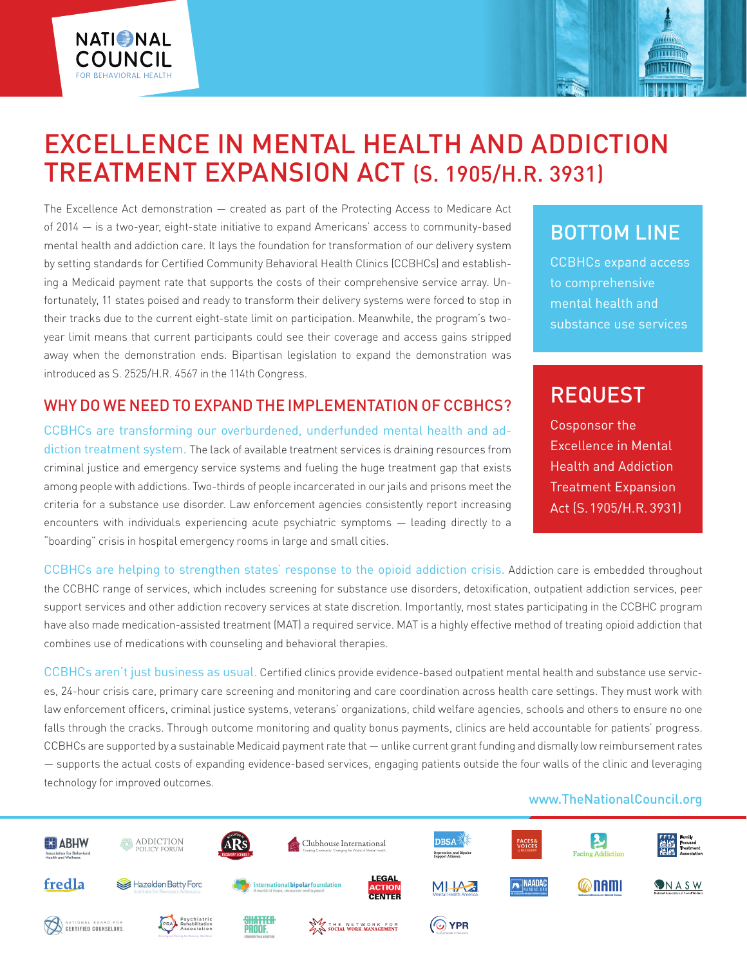

The Excellence Act demonstration — created as part of the Protecting Access to Medicare Act of 2014 — is a two-year, eight-state initiative to expand Americans' access to community-based mental health and addiction care. It lays the foundation for transformation of our delivery system by setting standards for Certified Community Behavioral Health Clinics (CCBHCs) and establishing a Medicaid payment rate that supports the costs of their comprehensive service array. Unfortunately, 11 states poised and ready to transform their delivery systems were forced to stop in their tracks due to the current eight-state limit on participation. Meanwhile, the program's twoyear limit means that current participants could see their coverage and access gains stripped away when the demonstration ends. Bipartisan legislation to expand the demonstration was introduced as S. 2525/H.R. 4567 in the 114th Congress.

**NATIONAL** 

COUNCIL

### WHY DO WE NEED TO EXPAND THE IMPLEMENTATION OF CCBHCS?

CCBHCs are transforming our overburdened, underfunded mental health and addiction treatment system. The lack of available treatment services is draining resources from criminal justice and emergency service systems and fueling the huge treatment gap that exists among people with addictions. Two-thirds of people incarcerated in our jails and prisons meet the criteria for a substance use disorder. Law enforcement agencies consistently report increasing encounters with individuals experiencing acute psychiatric symptoms — leading directly to a "boarding" crisis in hospital emergency rooms in large and small cities.

## BOTTOM LINE

74 M **THITTE** 

CCBHCs expand access to comprehensive mental health and substance use services

# REQUEST

Cosponsor the Excellence in Mental Health and Addiction Treatment Expansion Act (S. 1905/H.R. 3931)

CCBHCs are helping to strengthen states' response to the opioid addiction crisis. Addiction care is embedded throughout the CCBHC range of services, which includes screening for substance use disorders, detoxification, outpatient addiction services, peer support services and other addiction recovery services at state discretion. Importantly, most states participating in the CCBHC program have also made medication-assisted treatment (MAT) a required service. MAT is a highly effective method of treating opioid addiction that combines use of medications with counseling and behavioral therapies.

CCBHCs aren't just business as usual. Certified clinics provide evidence-based outpatient mental health and substance use services, 24-hour crisis care, primary care screening and monitoring and care coordination across health care settings. They must work with law enforcement officers, criminal justice systems, veterans' organizations, child welfare agencies, schools and others to ensure no one falls through the cracks. Through outcome monitoring and quality bonus payments, clinics are held accountable for patients' progress. CCBHCs are supported by a sustainable Medicaid payment rate that — unlike current grant funding and dismally low reimbursement rates — supports the actual costs of expanding evidence-based services, engaging patients outside the four walls of the clinic and leveraging technology for improved outcomes.

#### www.TheNationalCouncil.org